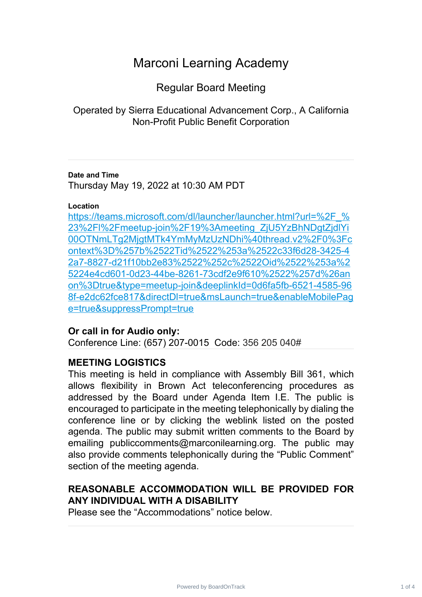# Marconi Learning Academy

Regular Board Meeting

Operated by Sierra Educational Advancement Corp., A California Non-Profit Public Benefit Corporation

#### **Date and Time**

Thursday May 19, 2022 at 10:30 AM PDT

#### **Location**

https://teams.microsoft.com/dl/launcher/launcher.html?url=%2F % 23%2Fl%2Fmeetup-join%2F19%3Ameeting\_ZjU5YzBhNDgtZjdlYi [00OTNmLTg2MjgtMTk4YmMyMzUzNDhi%40thread.v2%2F0%3Fc](https://teams.microsoft.com/dl/launcher/launcher.html?url=%2F_%23%2Fl%2Fmeetup-join%2F19%3Ameeting_ZjU5YzBhNDgtZjdlYi00OTNmLTg2MjgtMTk4YmMyMzUzNDhi%40thread.v2%2F0%3Fcontext%3D%257b%2522Tid%2522%253a%2522c33f6d28-3425-42a7-8827-d21f10bb2e83%2522%252c%2522Oid%2522%253a%25224e4cd601-0d23-44be-8261-73cdf2e9f610%2522%257d%26anon%3Dtrue&type=meetup-join&deeplinkId=0d6fa5fb-6521-4585-968f-e2dc62fce817&directDl=true&msLaunch=true&enableMobilePage=true&suppressPrompt=true) ontext%3D%257b%2522Tid%2522%253a%2522c33f6d28-3425-4 [2a7-8827-d21f10bb2e83%2522%252c%2522Oid%2522%253a%2](https://teams.microsoft.com/dl/launcher/launcher.html?url=%2F_%23%2Fl%2Fmeetup-join%2F19%3Ameeting_ZjU5YzBhNDgtZjdlYi00OTNmLTg2MjgtMTk4YmMyMzUzNDhi%40thread.v2%2F0%3Fcontext%3D%257b%2522Tid%2522%253a%2522c33f6d28-3425-42a7-8827-d21f10bb2e83%2522%252c%2522Oid%2522%253a%25224e4cd601-0d23-44be-8261-73cdf2e9f610%2522%257d%26anon%3Dtrue&type=meetup-join&deeplinkId=0d6fa5fb-6521-4585-968f-e2dc62fce817&directDl=true&msLaunch=true&enableMobilePage=true&suppressPrompt=true) 5224e4cd601-0d23-44be-8261-73cdf2e9f610%2522%257d%26an [on%3Dtrue&type=meetup-join&deeplinkId=0d6fa5fb-6521-4585-96](https://teams.microsoft.com/dl/launcher/launcher.html?url=%2F_%23%2Fl%2Fmeetup-join%2F19%3Ameeting_ZjU5YzBhNDgtZjdlYi00OTNmLTg2MjgtMTk4YmMyMzUzNDhi%40thread.v2%2F0%3Fcontext%3D%257b%2522Tid%2522%253a%2522c33f6d28-3425-42a7-8827-d21f10bb2e83%2522%252c%2522Oid%2522%253a%25224e4cd601-0d23-44be-8261-73cdf2e9f610%2522%257d%26anon%3Dtrue&type=meetup-join&deeplinkId=0d6fa5fb-6521-4585-968f-e2dc62fce817&directDl=true&msLaunch=true&enableMobilePage=true&suppressPrompt=true) 8f-e2dc62fce817&directDl=true&msLaunch=true&enableMobilePag [e=true&suppressPrompt=true](https://teams.microsoft.com/dl/launcher/launcher.html?url=%2F_%23%2Fl%2Fmeetup-join%2F19%3Ameeting_ZjU5YzBhNDgtZjdlYi00OTNmLTg2MjgtMTk4YmMyMzUzNDhi%40thread.v2%2F0%3Fcontext%3D%257b%2522Tid%2522%253a%2522c33f6d28-3425-42a7-8827-d21f10bb2e83%2522%252c%2522Oid%2522%253a%25224e4cd601-0d23-44be-8261-73cdf2e9f610%2522%257d%26anon%3Dtrue&type=meetup-join&deeplinkId=0d6fa5fb-6521-4585-968f-e2dc62fce817&directDl=true&msLaunch=true&enableMobilePage=true&suppressPrompt=true)

## **Or call in for Audio only:**

Conference Line: (657) 207-0015 Code: 356 205 040#

## **MEETING LOGISTICS**

This meeting is held in compliance with Assembly Bill 361, which allows flexibility in Brown Act teleconferencing procedures as addressed by the Board under Agenda Item I.E. The public is encouraged to participate in the meeting telephonically by dialing the conference line or by clicking the weblink listed on the posted agenda. The public may submit written comments to the Board by emailing publiccomments@marconilearning.org. The public may also provide comments telephonically during the "Public Comment" section of the meeting agenda.

## **REASONABLE ACCOMMODATION WILL BE PROVIDED FOR ANY INDIVIDUAL WITH A DISABILITY**

Please see the "Accommodations" notice below.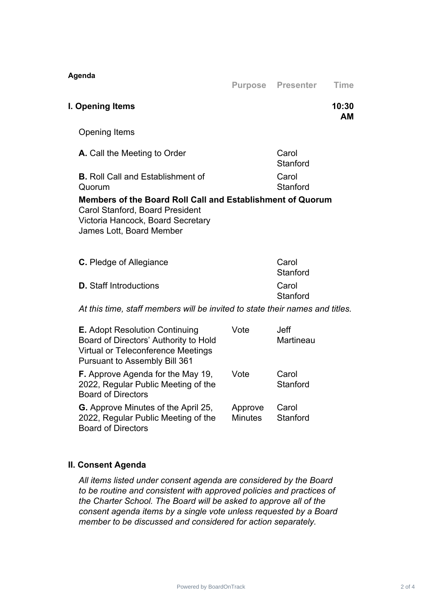| Agenda                                                                                                                                                                | <b>Purpose</b>            | <b>Presenter</b>         | <b>Time</b> |  |  |
|-----------------------------------------------------------------------------------------------------------------------------------------------------------------------|---------------------------|--------------------------|-------------|--|--|
| I. Opening Items                                                                                                                                                      |                           |                          | 10:30<br>AМ |  |  |
| <b>Opening Items</b>                                                                                                                                                  |                           |                          |             |  |  |
| A. Call the Meeting to Order                                                                                                                                          |                           | Carol<br>Stanford        |             |  |  |
| <b>B.</b> Roll Call and Establishment of<br>Quorum                                                                                                                    | Carol<br>Stanford         |                          |             |  |  |
| Members of the Board Roll Call and Establishment of Quorum<br><b>Carol Stanford, Board President</b><br>Victoria Hancock, Board Secretary<br>James Lott, Board Member |                           |                          |             |  |  |
| C. Pledge of Allegiance                                                                                                                                               |                           | Carol<br>Stanford        |             |  |  |
| <b>D.</b> Staff Introductions                                                                                                                                         | Carol<br>Stanford         |                          |             |  |  |
| At this time, staff members will be invited to state their names and titles.                                                                                          |                           |                          |             |  |  |
| <b>E.</b> Adopt Resolution Continuing<br>Board of Directors' Authority to Hold<br><b>Virtual or Teleconference Meetings</b><br><b>Pursuant to Assembly Bill 361</b>   | Vote                      | <b>Jeff</b><br>Martineau |             |  |  |
| <b>F.</b> Approve Agenda for the May 19,<br>2022, Regular Public Meeting of the<br><b>Board of Directors</b>                                                          | Vote                      | Carol<br>Stanford        |             |  |  |
| <b>G.</b> Approve Minutes of the April 25,<br>2022, Regular Public Meeting of the<br><b>Board of Directors</b>                                                        | Approve<br><b>Minutes</b> | Carol<br>Stanford        |             |  |  |

### **II. Consent Agenda**

*All items listed under consent agenda are considered by the Board to be routine and consistent with approved policies and practices of the Charter School. The Board will be asked to approve all of the consent agenda items by a single vote unless requested by a Board member to be discussed and considered for action separately.*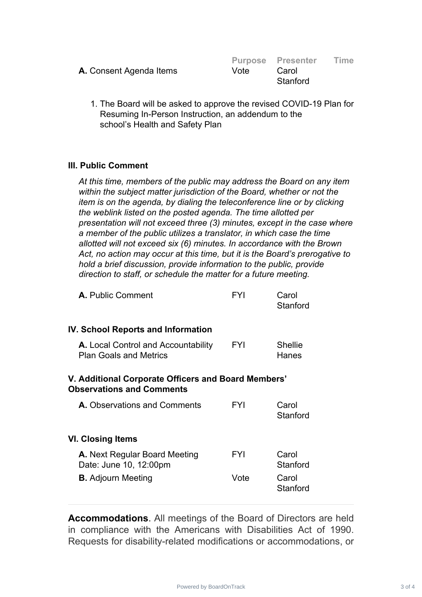|                                |      | <b>Purpose Presenter</b> | Time |
|--------------------------------|------|--------------------------|------|
| <b>A.</b> Consent Agenda Items | Vote | Carol<br>Stanford        |      |
|                                |      |                          |      |

1. The Board will be asked to approve the revised COVID-19 Plan for Resuming In-Person Instruction, an addendum to the school's Health and Safety Plan

#### **III. Public Comment**

*At this time, members of the public may address the Board on any item within the subject matter jurisdiction of the Board, whether or not the item is on the agenda, by dialing the teleconference line or by clicking the weblink listed on the posted agenda. The time allotted per presentation will not exceed three (3) minutes, except in the case where a member of the public utilizes a translator, in which case the time allotted will not exceed six (6) minutes. In accordance with the Brown Act, no action may occur at this time, but it is the Board's prerogative to hold a brief discussion, provide information to the public, provide direction to staff, or schedule the matter for a future meeting.*

| <b>A.</b> Public Comment                                                                | <b>FYI</b> | Carol<br>Stanford       |  |  |  |
|-----------------------------------------------------------------------------------------|------------|-------------------------|--|--|--|
| <b>IV. School Reports and Information</b>                                               |            |                         |  |  |  |
| <b>A.</b> Local Control and Accountability<br><b>Plan Goals and Metrics</b>             | <b>FYI</b> | <b>Shellie</b><br>Hanes |  |  |  |
| V. Additional Corporate Officers and Board Members'<br><b>Observations and Comments</b> |            |                         |  |  |  |
| A. Observations and Comments                                                            | FYI        | Carol<br>Stanford       |  |  |  |
| <b>VI. Closing Items</b>                                                                |            |                         |  |  |  |
| A. Next Regular Board Meeting<br>Date: June 10, 12:00pm                                 | <b>FYI</b> | Carol<br>Stanford       |  |  |  |
| <b>B.</b> Adjourn Meeting                                                               | Vote       | Carol<br>Stanford       |  |  |  |

**Accommodations**. All meetings of the Board of Directors are held in compliance with the Americans with Disabilities Act of 1990. Requests for disability-related modifications or accommodations, or